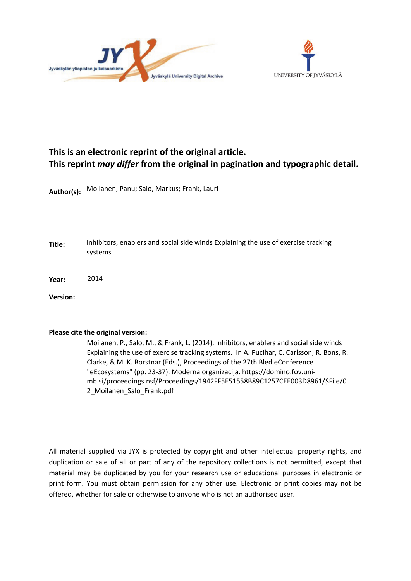



# **This is an electronic reprint of the original article. This reprint** *may differ* **from the original in pagination and typographic detail.**

**Author(s):**  Moilanen, Panu; Salo, Markus; Frank, Lauri

**Title:** Inhibitors, enablers and social side winds Explaining the use of exercise tracking systems

**Year:**  2014

**Version:**

#### **Please cite the original version:**

Moilanen, P., Salo, M., & Frank, L. (2014). Inhibitors, enablers and social side winds Explaining the use of exercise tracking systems. In A. Pucihar, C. Carlsson, R. Bons, R. Clarke, & M. K. Borstnar (Eds.), Proceedings of the 27th Bled eConference "eEcosystems" (pp. 23-37). Moderna organizacija. https://domino.fov.unimb.si/proceedings.nsf/Proceedings/1942FF5E51558B89C1257CEE003D8961/\$File/0 2\_Moilanen\_Salo\_Frank.pdf

All material supplied via JYX is protected by copyright and other intellectual property rights, and duplication or sale of all or part of any of the repository collections is not permitted, except that material may be duplicated by you for your research use or educational purposes in electronic or print form. You must obtain permission for any other use. Electronic or print copies may not be offered, whether for sale or otherwise to anyone who is not an authorised user.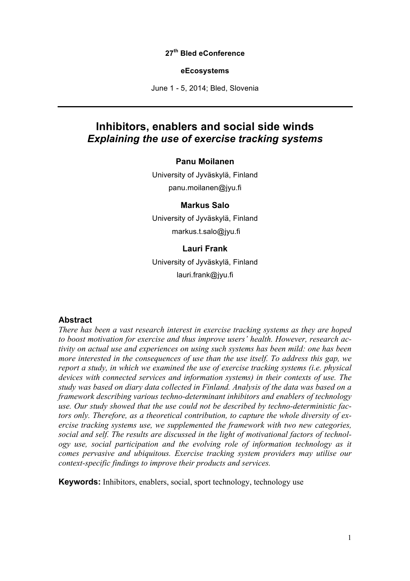#### **27th Bled eConference**

#### **eEcosystems**

June 1 - 5, 2014; Bled, Slovenia

## **Inhibitors, enablers and social side winds** *Explaining the use of exercise tracking systems*

#### **Panu Moilanen**

University of Jyväskylä, Finland panu.moilanen@jyu.fi

#### **Markus Salo**

University of Jyväskylä, Finland markus.t.salo@jyu.fi

#### **Lauri Frank**

University of Jyväskylä, Finland lauri.frank@jyu.fi

#### **Abstract**

*There has been a vast research interest in exercise tracking systems as they are hoped to boost motivation for exercise and thus improve users' health. However, research activity on actual use and experiences on using such systems has been mild: one has been more interested in the consequences of use than the use itself. To address this gap, we report a study, in which we examined the use of exercise tracking systems (i.e. physical devices with connected services and information systems) in their contexts of use. The study was based on diary data collected in Finland. Analysis of the data was based on a framework describing various techno-determinant inhibitors and enablers of technology use. Our study showed that the use could not be described by techno-deterministic factors only. Therefore, as a theoretical contribution, to capture the whole diversity of exercise tracking systems use, we supplemented the framework with two new categories, social and self. The results are discussed in the light of motivational factors of technology use, social participation and the evolving role of information technology as it comes pervasive and ubiquitous. Exercise tracking system providers may utilise our context-specific findings to improve their products and services.*

**Keywords:** Inhibitors, enablers, social, sport technology, technology use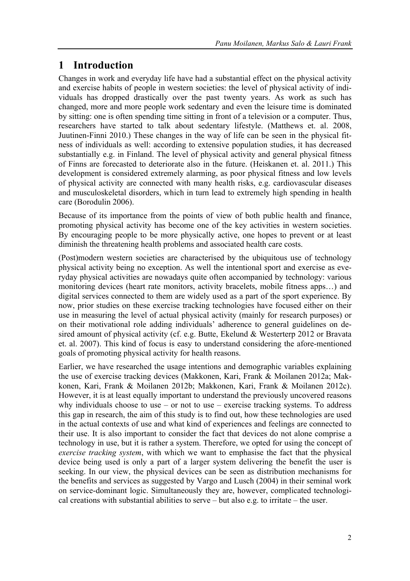# **1 Introduction**

Changes in work and everyday life have had a substantial effect on the physical activity and exercise habits of people in western societies: the level of physical activity of individuals has dropped drastically over the past twenty years. As work as such has changed, more and more people work sedentary and even the leisure time is dominated by sitting: one is often spending time sitting in front of a television or a computer. Thus, researchers have started to talk about sedentary lifestyle. (Matthews et. al. 2008, Juutinen-Finni 2010.) These changes in the way of life can be seen in the physical fitness of individuals as well: according to extensive population studies, it has decreased substantially e.g. in Finland. The level of physical activity and general physical fitness of Finns are forecasted to deteriorate also in the future. (Heiskanen et. al. 2011.) This development is considered extremely alarming, as poor physical fitness and low levels of physical activity are connected with many health risks, e.g. cardiovascular diseases and musculoskeletal disorders, which in turn lead to extremely high spending in health care (Borodulin 2006).

Because of its importance from the points of view of both public health and finance, promoting physical activity has become one of the key activities in western societies. By encouraging people to be more physically active, one hopes to prevent or at least diminish the threatening health problems and associated health care costs.

(Post)modern western societies are characterised by the ubiquitous use of technology physical activity being no exception. As well the intentional sport and exercise as everyday physical activities are nowadays quite often accompanied by technology: various monitoring devices (heart rate monitors, activity bracelets, mobile fitness apps…) and digital services connected to them are widely used as a part of the sport experience. By now, prior studies on these exercise tracking technologies have focused either on their use in measuring the level of actual physical activity (mainly for research purposes) or on their motivational role adding individuals' adherence to general guidelines on desired amount of physical activity (cf. e.g. Butte, Ekelund & Westerterp 2012 or Bravata et. al. 2007). This kind of focus is easy to understand considering the afore-mentioned goals of promoting physical activity for health reasons.

Earlier, we have researched the usage intentions and demographic variables explaining the use of exercise tracking devices (Makkonen, Kari, Frank & Moilanen 2012a; Makkonen, Kari, Frank & Moilanen 2012b; Makkonen, Kari, Frank & Moilanen 2012c). However, it is at least equally important to understand the previously uncovered reasons why individuals choose to use – or not to use – exercise tracking systems. To address this gap in research, the aim of this study is to find out, how these technologies are used in the actual contexts of use and what kind of experiences and feelings are connected to their use. It is also important to consider the fact that devices do not alone comprise a technology in use, but it is rather a system. Therefore, we opted for using the concept of *exercise tracking system*, with which we want to emphasise the fact that the physical device being used is only a part of a larger system delivering the benefit the user is seeking. In our view, the physical devices can be seen as distribution mechanisms for the benefits and services as suggested by Vargo and Lusch (2004) in their seminal work on service-dominant logic. Simultaneously they are, however, complicated technological creations with substantial abilities to serve – but also e.g. to irritate – the user.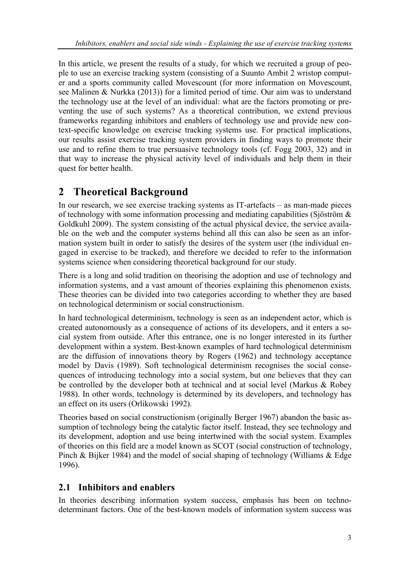In this article, we present the results of a study, for which we recruited a group of people to use an exercise tracking system (consisting of a Suunto Ambit 2 wristop computer and a sports community called Movescount (for more information on Movescount, see Malinen & Nurkka (2013)) for a limited period of time. Our aim was to understand the technology use at the level of an individual: what are the factors promoting or preventing the use of such systems? As a theoretical contribution, we extend previous frameworks regarding inhibitors and enablers of technology use and provide new context-specific knowledge on exercise tracking systems use. For practical implications, our results assist exercise tracking system providers in finding ways to promote their use and to refine them to true persuasive technology tools (cf. Fogg 2003, 32) and in that way to increase the physical activity level of individuals and help them in their quest for better health.

# **2 Theoretical Background**

In our research, we see exercise tracking systems as IT-artefacts – as man-made pieces of technology with some information processing and mediating capabilities (Sjöström  $\&$ Goldkuhl 2009). The system consisting of the actual physical device, the service available on the web and the computer systems behind all this can also be seen as an information system built in order to satisfy the desires of the system user (the individual engaged in exercise to be tracked), and therefore we decided to refer to the information systems science when considering theoretical background for our study.

There is a long and solid tradition on theorising the adoption and use of technology and information systems, and a vast amount of theories explaining this phenomenon exists. These theories can be divided into two categories according to whether they are based on technological determinism or social constructionism.

In hard technological determinism, technology is seen as an independent actor, which is created autonomously as a consequence of actions of its developers, and it enters a social system from outside. After this entrance, one is no longer interested in its further development within a system. Best-known examples of hard technological determinism are the diffusion of innovations theory by Rogers (1962) and technology acceptance model by Davis (1989). Soft technological determinism recognises the social consequences of introducing technology into a social system, but one believes that they can be controlled by the developer both at technical and at social level (Markus & Robey 1988). In other words, technology is determined by its developers, and technology has an effect on its users (Orlikowski 1992).

Theories based on social constructionism (originally Berger 1967) abandon the basic assumption of technology being the catalytic factor itself. Instead, they see technology and its development, adoption and use being intertwined with the social system. Examples of theories on this field are a model known as SCOT (social construction of technology, Pinch & Bijker 1984) and the model of social shaping of technology (Williams & Edge) 1996).

## **2.1 Inhibitors and enablers**

In theories describing information system success, emphasis has been on technodeterminant factors. One of the best-known models of information system success was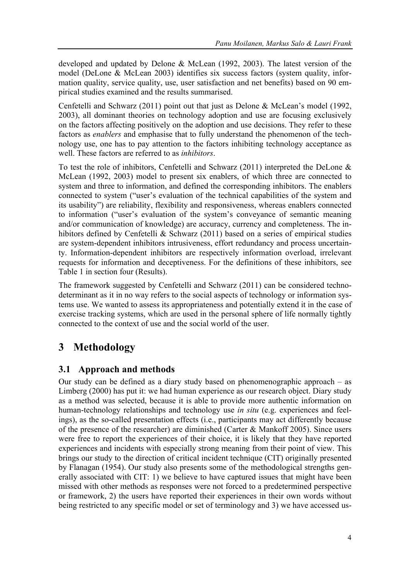developed and updated by Delone & McLean (1992, 2003). The latest version of the model (DeLone & McLean 2003) identifies six success factors (system quality, information quality, service quality, use, user satisfaction and net benefits) based on 90 empirical studies examined and the results summarised.

Cenfetelli and Schwarz (2011) point out that just as Delone & McLean's model (1992, 2003), all dominant theories on technology adoption and use are focusing exclusively on the factors affecting positively on the adoption and use decisions. They refer to these factors as *enablers* and emphasise that to fully understand the phenomenon of the technology use, one has to pay attention to the factors inhibiting technology acceptance as well. These factors are referred to as *inhibitors*.

To test the role of inhibitors, Cenfetelli and Schwarz (2011) interpreted the DeLone & McLean (1992, 2003) model to present six enablers, of which three are connected to system and three to information, and defined the corresponding inhibitors. The enablers connected to system ("user's evaluation of the technical capabilities of the system and its usability") are reliability, flexibility and responsiveness, whereas enablers connected to information ("user's evaluation of the system's conveyance of semantic meaning and/or communication of knowledge) are accuracy, currency and completeness. The inhibitors defined by Cenfetelli & Schwarz (2011) based on a series of empirical studies are system-dependent inhibitors intrusiveness, effort redundancy and process uncertainty. Information-dependent inhibitors are respectively information overload, irrelevant requests for information and deceptiveness. For the definitions of these inhibitors, see Table 1 in section four (Results).

The framework suggested by Cenfetelli and Schwarz (2011) can be considered technodeterminant as it in no way refers to the social aspects of technology or information systems use. We wanted to assess its appropriateness and potentially extend it in the case of exercise tracking systems, which are used in the personal sphere of life normally tightly connected to the context of use and the social world of the user.

# **3 Methodology**

### **3.1 Approach and methods**

Our study can be defined as a diary study based on phenomenographic approach – as Limberg (2000) has put it: we had human experience as our research object. Diary study as a method was selected, because it is able to provide more authentic information on human-technology relationships and technology use *in situ* (e.g. experiences and feelings), as the so-called presentation effects (i.e., participants may act differently because of the presence of the researcher) are diminished (Carter & Mankoff 2005). Since users were free to report the experiences of their choice, it is likely that they have reported experiences and incidents with especially strong meaning from their point of view. This brings our study to the direction of critical incident technique (CIT) originally presented by Flanagan (1954). Our study also presents some of the methodological strengths generally associated with CIT: 1) we believe to have captured issues that might have been missed with other methods as responses were not forced to a predetermined perspective or framework, 2) the users have reported their experiences in their own words without being restricted to any specific model or set of terminology and 3) we have accessed us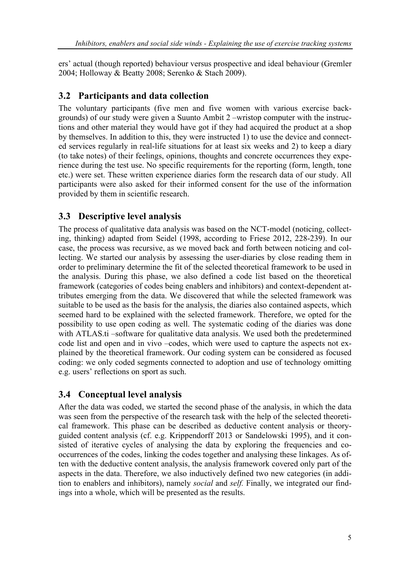ers' actual (though reported) behaviour versus prospective and ideal behaviour (Gremler 2004; Holloway & Beatty 2008; Serenko & Stach 2009).

#### **3.2 Participants and data collection**

The voluntary participants (five men and five women with various exercise backgrounds) of our study were given a Suunto Ambit 2 –wristop computer with the instructions and other material they would have got if they had acquired the product at a shop by themselves. In addition to this, they were instructed 1) to use the device and connected services regularly in real-life situations for at least six weeks and 2) to keep a diary (to take notes) of their feelings, opinions, thoughts and concrete occurrences they experience during the test use. No specific requirements for the reporting (form, length, tone etc.) were set. These written experience diaries form the research data of our study. All participants were also asked for their informed consent for the use of the information provided by them in scientific research.

### **3.3 Descriptive level analysis**

The process of qualitative data analysis was based on the NCT-model (noticing, collecting, thinking) adapted from Seidel (1998, according to Friese 2012, 228-239). In our case, the process was recursive, as we moved back and forth between noticing and collecting. We started our analysis by assessing the user-diaries by close reading them in order to preliminary determine the fit of the selected theoretical framework to be used in the analysis. During this phase, we also defined a code list based on the theoretical framework (categories of codes being enablers and inhibitors) and context-dependent attributes emerging from the data. We discovered that while the selected framework was suitable to be used as the basis for the analysis, the diaries also contained aspects, which seemed hard to be explained with the selected framework. Therefore, we opted for the possibility to use open coding as well. The systematic coding of the diaries was done with ATLAS.ti –software for qualitative data analysis. We used both the predetermined code list and open and in vivo –codes, which were used to capture the aspects not explained by the theoretical framework. Our coding system can be considered as focused coding: we only coded segments connected to adoption and use of technology omitting e.g. users' reflections on sport as such.

### **3.4 Conceptual level analysis**

After the data was coded, we started the second phase of the analysis, in which the data was seen from the perspective of the research task with the help of the selected theoretical framework. This phase can be described as deductive content analysis or theoryguided content analysis (cf. e.g. Krippendorff 2013 or Sandelowski 1995), and it consisted of iterative cycles of analysing the data by exploring the frequencies and cooccurrences of the codes, linking the codes together and analysing these linkages. As often with the deductive content analysis, the analysis framework covered only part of the aspects in the data. Therefore, we also inductively defined two new categories (in addition to enablers and inhibitors), namely *social* and *self.* Finally, we integrated our findings into a whole, which will be presented as the results.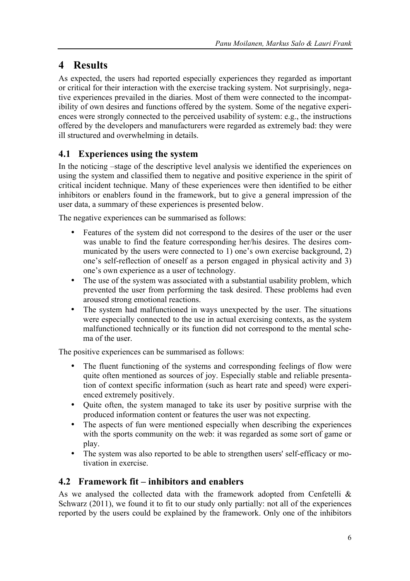# **4 Results**

As expected, the users had reported especially experiences they regarded as important or critical for their interaction with the exercise tracking system. Not surprisingly, negative experiences prevailed in the diaries. Most of them were connected to the incompatibility of own desires and functions offered by the system. Some of the negative experiences were strongly connected to the perceived usability of system: e.g., the instructions offered by the developers and manufacturers were regarded as extremely bad: they were ill structured and overwhelming in details.

## **4.1 Experiences using the system**

In the noticing –stage of the descriptive level analysis we identified the experiences on using the system and classified them to negative and positive experience in the spirit of critical incident technique. Many of these experiences were then identified to be either inhibitors or enablers found in the framework, but to give a general impression of the user data, a summary of these experiences is presented below.

The negative experiences can be summarised as follows:

- Features of the system did not correspond to the desires of the user or the user was unable to find the feature corresponding her/his desires. The desires communicated by the users were connected to 1) one's own exercise background, 2) one's self-reflection of oneself as a person engaged in physical activity and 3) one's own experience as a user of technology.
- The use of the system was associated with a substantial usability problem, which prevented the user from performing the task desired. These problems had even aroused strong emotional reactions.
- The system had malfunctioned in ways unexpected by the user. The situations were especially connected to the use in actual exercising contexts, as the system malfunctioned technically or its function did not correspond to the mental schema of the user.

The positive experiences can be summarised as follows:

- The fluent functioning of the systems and corresponding feelings of flow were quite often mentioned as sources of joy. Especially stable and reliable presentation of context specific information (such as heart rate and speed) were experienced extremely positively.
- Quite often, the system managed to take its user by positive surprise with the produced information content or features the user was not expecting.
- The aspects of fun were mentioned especially when describing the experiences with the sports community on the web: it was regarded as some sort of game or play.
- The system was also reported to be able to strengthen users' self-efficacy or motivation in exercise.

### **4.2 Framework fit – inhibitors and enablers**

As we analysed the collected data with the framework adopted from Cenfetelli  $\&$ Schwarz (2011), we found it to fit to our study only partially: not all of the experiences reported by the users could be explained by the framework. Only one of the inhibitors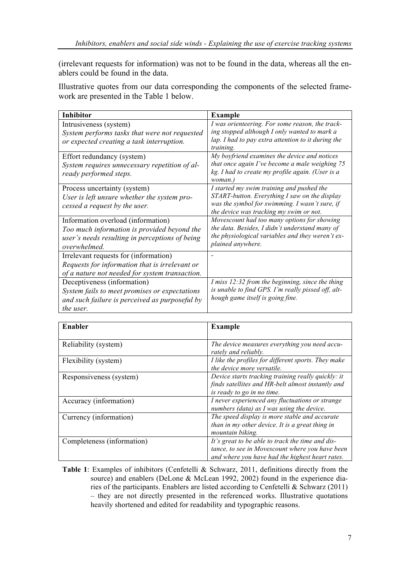(irrelevant requests for information) was not to be found in the data, whereas all the enablers could be found in the data.

Illustrative quotes from our data corresponding the components of the selected framework are presented in the Table 1 below.

| <b>Inhibitor</b>                                                                                                                                    | <b>Example</b>                                                                                                                                                                          |
|-----------------------------------------------------------------------------------------------------------------------------------------------------|-----------------------------------------------------------------------------------------------------------------------------------------------------------------------------------------|
| Intrusiveness (system)                                                                                                                              | I was orienteering. For some reason, the track-                                                                                                                                         |
| System performs tasks that were not requested                                                                                                       | ing stopped although I only wanted to mark a                                                                                                                                            |
| or expected creating a task interruption.                                                                                                           | lap. I had to pay extra attention to it during the                                                                                                                                      |
| Effort redundancy (system)<br>System requires unnecessary repetition of al-<br>ready performed steps.                                               | training.<br>My boyfriend examines the device and notices<br>that once again I've become a male weighing 75<br>kg. I had to create my profile again. (User is a<br>woman.)              |
| Process uncertainty (system)<br>User is left unsure whether the system pro-<br>cessed a request by the user.                                        | I started my swim training and pushed the<br>START-button. Everything I saw on the display<br>was the symbol for swimming. I wasn't sure, if<br>the device was tracking my swim or not. |
| Information overload (information)<br>Too much information is provided beyond the<br>user's needs resulting in perceptions of being<br>overwhelmed. | Movescount had too many options for showing<br>the data. Besides, I didn't understand many of<br>the physiological variables and they weren't ex-<br>plained anywhere.                  |
| Irrelevant requests for (information)<br>Requests for information that is irrelevant or<br>of a nature not needed for system transaction.           |                                                                                                                                                                                         |
| Deceptiveness (information)<br>System fails to meet promises or expectations<br>and such failure is perceived as purposeful by<br>the user.         | I miss 12:32 from the beginning, since the thing<br>is unable to find GPS. I'm really pissed off, alt-<br>hough game itself is going fine.                                              |

| Enabler                    | <b>Example</b>                                                                                                                                         |
|----------------------------|--------------------------------------------------------------------------------------------------------------------------------------------------------|
| Reliability (system)       | The device measures everything you need accu-<br>rately and reliably.                                                                                  |
| Flexibility (system)       | I like the profiles for different sports. They make<br>the device more versatile.                                                                      |
| Responsiveness (system)    | Device starts tracking training really quickly: it<br>finds satellites and HR-belt almost instantly and<br>is ready to go in no time.                  |
| Accuracy (information)     | I never experienced any fluctuations or strange<br>numbers (data) as I was using the device.                                                           |
| Currency (information)     | The speed display is more stable and accurate<br>than in my other device. It is a great thing in<br>mountain biking.                                   |
| Completeness (information) | It's great to be able to track the time and dis-<br>tance, to see in Movescount where you have been<br>and where you have had the highest heart rates. |

Table 1: Examples of inhibitors (Cenfetelli & Schwarz, 2011, definitions directly from the source) and enablers (DeLone & McLean 1992, 2002) found in the experience diaries of the participants. Enablers are listed according to Cenfetelli & Schwarz (2011) – they are not directly presented in the referenced works. Illustrative quotations heavily shortened and edited for readability and typographic reasons.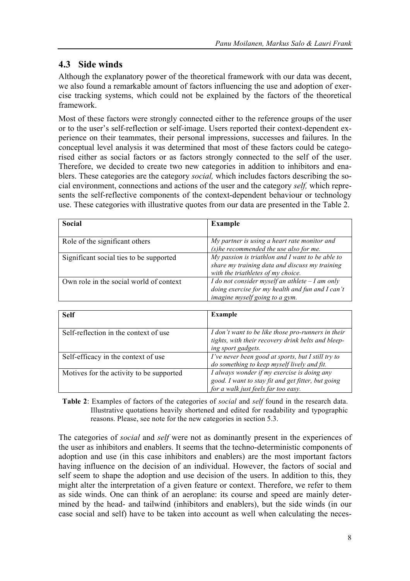### **4.3 Side winds**

Although the explanatory power of the theoretical framework with our data was decent, we also found a remarkable amount of factors influencing the use and adoption of exercise tracking systems, which could not be explained by the factors of the theoretical framework.

Most of these factors were strongly connected either to the reference groups of the user or to the user's self-reflection or self-image. Users reported their context-dependent experience on their teammates, their personal impressions, successes and failures. In the conceptual level analysis it was determined that most of these factors could be categorised either as social factors or as factors strongly connected to the self of the user. Therefore, we decided to create two new categories in addition to inhibitors and enablers. These categories are the category *social,* which includes factors describing the social environment, connections and actions of the user and the category *self,* which represents the self-reflective components of the context-dependent behaviour or technology use. These categories with illustrative quotes from our data are presented in the Table 2.

| Social                                  | <b>Example</b>                                                                                                                           |
|-----------------------------------------|------------------------------------------------------------------------------------------------------------------------------------------|
| Role of the significant others          | My partner is using a heart rate monitor and<br>(s) he recommended the use also for me.                                                  |
| Significant social ties to be supported | My passion is triathlon and I want to be able to<br>share my training data and discuss my training<br>with the triathletes of my choice. |
| Own role in the social world of context | I do not consider myself an athlete $-I$ am only<br>doing exercise for my health and fun and I can't<br>imagine myself going to a gym.   |

| <b>Self</b>                              | <b>Example</b>                                                                                                                           |
|------------------------------------------|------------------------------------------------------------------------------------------------------------------------------------------|
| Self-reflection in the context of use    | I don't want to be like those pro-runners in their<br>tights, with their recovery drink belts and bleep-<br>ing sport gadgets.           |
| Self-efficacy in the context of use      | I've never been good at sports, but I still try to<br>do something to keep myself lively and fit.                                        |
| Motives for the activity to be supported | I always wonder if my exercise is doing any<br>good. I want to stay fit and get fitter, but going<br>for a walk just feels far too easy. |

**Table 2**: Examples of factors of the categories of *social* and *self* found in the research data. Illustrative quotations heavily shortened and edited for readability and typographic reasons. Please, see note for the new categories in section 5.3.

The categories of *social* and *self* were not as dominantly present in the experiences of the user as inhibitors and enablers. It seems that the techno-deterministic components of adoption and use (in this case inhibitors and enablers) are the most important factors having influence on the decision of an individual. However, the factors of social and self seem to shape the adoption and use decision of the users. In addition to this, they might alter the interpretation of a given feature or context. Therefore, we refer to them as side winds. One can think of an aeroplane: its course and speed are mainly determined by the head- and tailwind (inhibitors and enablers), but the side winds (in our case social and self) have to be taken into account as well when calculating the neces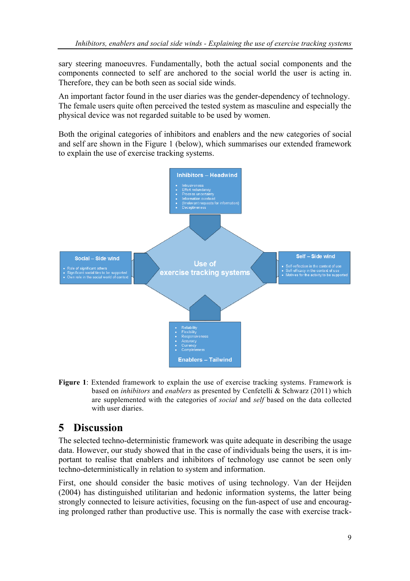sary steering manoeuvres. Fundamentally, both the actual social components and the components connected to self are anchored to the social world the user is acting in. Therefore, they can be both seen as social side winds.

An important factor found in the user diaries was the gender-dependency of technology. The female users quite often perceived the tested system as masculine and especially the physical device was not regarded suitable to be used by women.

Both the original categories of inhibitors and enablers and the new categories of social and self are shown in the Figure 1 (below), which summarises our extended framework to explain the use of exercise tracking systems.



**Figure 1**: Extended framework to explain the use of exercise tracking systems. Framework is based on *inhibitors* and *enablers* as presented by Cenfetelli & Schwarz (2011) which are supplemented with the categories of *social* and *self* based on the data collected with user diaries.

# **5 Discussion**

The selected techno-deterministic framework was quite adequate in describing the usage data. However, our study showed that in the case of individuals being the users, it is important to realise that enablers and inhibitors of technology use cannot be seen only techno-deterministically in relation to system and information.

First, one should consider the basic motives of using technology. Van der Heijden (2004) has distinguished utilitarian and hedonic information systems, the latter being strongly connected to leisure activities, focusing on the fun-aspect of use and encouraging prolonged rather than productive use. This is normally the case with exercise track-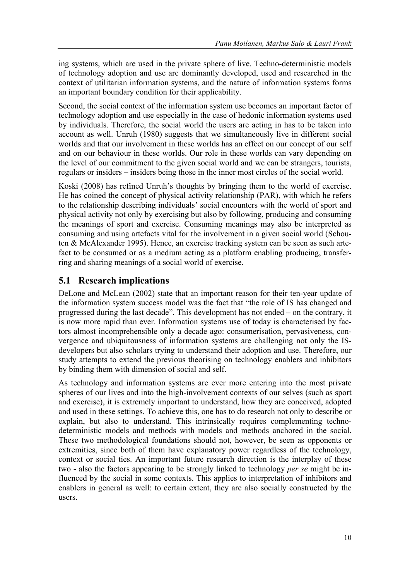ing systems, which are used in the private sphere of live. Techno-deterministic models of technology adoption and use are dominantly developed, used and researched in the context of utilitarian information systems, and the nature of information systems forms an important boundary condition for their applicability.

Second, the social context of the information system use becomes an important factor of technology adoption and use especially in the case of hedonic information systems used by individuals. Therefore, the social world the users are acting in has to be taken into account as well. Unruh (1980) suggests that we simultaneously live in different social worlds and that our involvement in these worlds has an effect on our concept of our self and on our behaviour in these worlds. Our role in these worlds can vary depending on the level of our commitment to the given social world and we can be strangers, tourists, regulars or insiders – insiders being those in the inner most circles of the social world.

Koski (2008) has refined Unruh's thoughts by bringing them to the world of exercise. He has coined the concept of physical activity relationship (PAR), with which he refers to the relationship describing individuals' social encounters with the world of sport and physical activity not only by exercising but also by following, producing and consuming the meanings of sport and exercise. Consuming meanings may also be interpreted as consuming and using artefacts vital for the involvement in a given social world (Schouten & McAlexander 1995). Hence, an exercise tracking system can be seen as such artefact to be consumed or as a medium acting as a platform enabling producing, transferring and sharing meanings of a social world of exercise.

### **5.1 Research implications**

DeLone and McLean (2002) state that an important reason for their ten-year update of the information system success model was the fact that "the role of IS has changed and progressed during the last decade". This development has not ended – on the contrary, it is now more rapid than ever. Information systems use of today is characterised by factors almost incomprehensible only a decade ago: consumerisation, pervasiveness, convergence and ubiquitousness of information systems are challenging not only the ISdevelopers but also scholars trying to understand their adoption and use. Therefore, our study attempts to extend the previous theorising on technology enablers and inhibitors by binding them with dimension of social and self.

As technology and information systems are ever more entering into the most private spheres of our lives and into the high-involvement contexts of our selves (such as sport and exercise), it is extremely important to understand, how they are conceived, adopted and used in these settings. To achieve this, one has to do research not only to describe or explain, but also to understand. This intrinsically requires complementing technodeterministic models and methods with models and methods anchored in the social. These two methodological foundations should not, however, be seen as opponents or extremities, since both of them have explanatory power regardless of the technology, context or social ties. An important future research direction is the interplay of these two - also the factors appearing to be strongly linked to technology *per se* might be influenced by the social in some contexts. This applies to interpretation of inhibitors and enablers in general as well: to certain extent, they are also socially constructed by the users.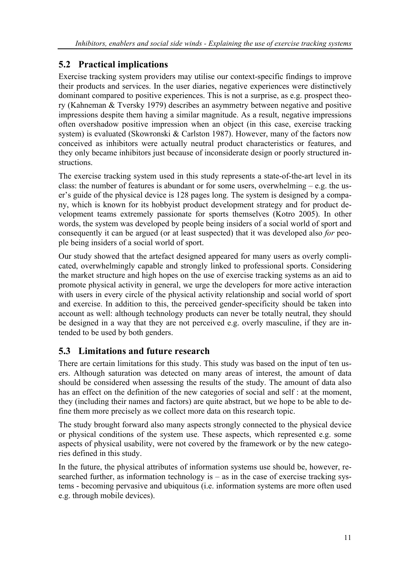## **5.2 Practical implications**

Exercise tracking system providers may utilise our context-specific findings to improve their products and services. In the user diaries, negative experiences were distinctively dominant compared to positive experiences. This is not a surprise, as e.g. prospect theory (Kahneman & Tversky 1979) describes an asymmetry between negative and positive impressions despite them having a similar magnitude. As a result, negative impressions often overshadow positive impression when an object (in this case, exercise tracking system) is evaluated (Skowronski & Carlston 1987). However, many of the factors now conceived as inhibitors were actually neutral product characteristics or features, and they only became inhibitors just because of inconsiderate design or poorly structured instructions.

The exercise tracking system used in this study represents a state-of-the-art level in its class: the number of features is abundant or for some users, overwhelming – e.g. the user's guide of the physical device is 128 pages long. The system is designed by a company, which is known for its hobbyist product development strategy and for product development teams extremely passionate for sports themselves (Kotro 2005). In other words, the system was developed by people being insiders of a social world of sport and consequently it can be argued (or at least suspected) that it was developed also *for* people being insiders of a social world of sport.

Our study showed that the artefact designed appeared for many users as overly complicated, overwhelmingly capable and strongly linked to professional sports. Considering the market structure and high hopes on the use of exercise tracking systems as an aid to promote physical activity in general, we urge the developers for more active interaction with users in every circle of the physical activity relationship and social world of sport and exercise. In addition to this, the perceived gender-specificity should be taken into account as well: although technology products can never be totally neutral, they should be designed in a way that they are not perceived e.g. overly masculine, if they are intended to be used by both genders.

## **5.3 Limitations and future research**

There are certain limitations for this study. This study was based on the input of ten users. Although saturation was detected on many areas of interest, the amount of data should be considered when assessing the results of the study. The amount of data also has an effect on the definition of the new categories of social and self : at the moment, they (including their names and factors) are quite abstract, but we hope to be able to define them more precisely as we collect more data on this research topic.

The study brought forward also many aspects strongly connected to the physical device or physical conditions of the system use. These aspects, which represented e.g. some aspects of physical usability, were not covered by the framework or by the new categories defined in this study.

In the future, the physical attributes of information systems use should be, however, researched further, as information technology is – as in the case of exercise tracking systems - becoming pervasive and ubiquitous (i.e. information systems are more often used e.g. through mobile devices).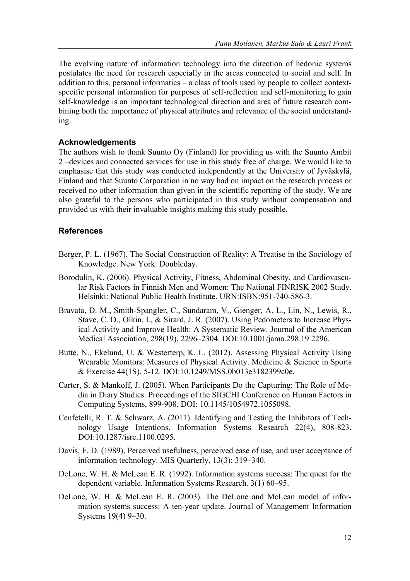The evolving nature of information technology into the direction of hedonic systems postulates the need for research especially in the areas connected to social and self. In addition to this, personal informatics – a class of tools used by people to collect contextspecific personal information for purposes of self-reflection and self-monitoring to gain self-knowledge is an important technological direction and area of future research combining both the importance of physical attributes and relevance of the social understanding.

#### **Acknowledgements**

The authors wish to thank Suunto Oy (Finland) for providing us with the Suunto Ambit 2 –devices and connected services for use in this study free of charge. We would like to emphasise that this study was conducted independently at the University of Jyväskylä, Finland and that Suunto Corporation in no way had on impact on the research process or received no other information than given in the scientific reporting of the study. We are also grateful to the persons who participated in this study without compensation and provided us with their invaluable insights making this study possible.

#### **References**

- Berger, P. L. (1967). The Social Construction of Reality: A Treatise in the Sociology of Knowledge. New York: Doubleday.
- Borodulin, K. (2006). Physical Activity, Fitness, Abdominal Obesity, and Cardiovascular Risk Factors in Finnish Men and Women: The National FINRISK 2002 Study. Helsinki: National Public Health Institute. URN:ISBN:951-740-586-3.
- Bravata, D. M., Smith-Spangler, C., Sundaram, V., Gienger, A. L., Lin, N., Lewis, R., Stave, C. D., Olkin, I., & Sirard, J. R. (2007). Using Pedometers to Increase Physical Activity and Improve Health: A Systematic Review. Journal of the American Medical Association, 298(19), 2296–2304. DOI:10.1001/jama.298.19.2296.
- Butte, N., Ekelund, U. & Westerterp, K. L. (2012). Assessing Physical Activity Using Wearable Monitors: Measures of Physical Activity. Medicine & Science in Sports & Exercise 44(1S), 5-12. DOI:10.1249/MSS.0b013e3182399c0e.
- Carter, S. & Mankoff, J. (2005). When Participants Do the Capturing: The Role of Media in Diary Studies. Proceedings of the SIGCHI Conference on Human Factors in Computing Systems, 899-908. DOI: 10.1145/1054972.1055098.
- Cenfetelli, R. T. & Schwarz, A. (2011). Identifying and Testing the Inhibitors of Technology Usage Intentions. Information Systems Research 22(4), 808-823. DOI:10.1287/isre.1100.0295.
- Davis, F. D. (1989), Perceived usefulness, perceived ease of use, and user acceptance of information technology. MIS Quarterly, 13(3): 319–340.
- DeLone, W. H. & McLean E. R. (1992). Information systems success: The quest for the dependent variable. Information Systems Research. 3(1) 60–95.
- DeLone, W. H. & McLean E. R. (2003). The DeLone and McLean model of information systems success: A ten-year update. Journal of Management Information Systems 19(4) 9–30.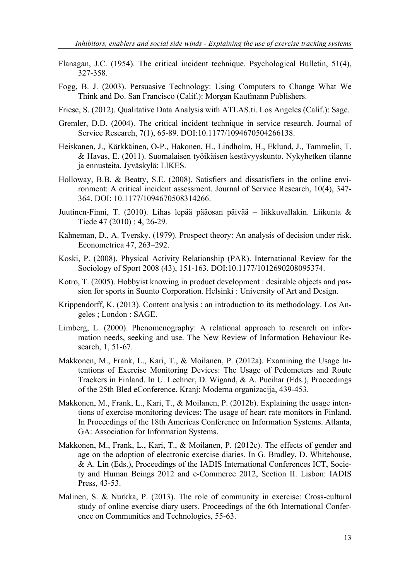- Flanagan, J.C. (1954). The critical incident technique. Psychological Bulletin, 51(4), 327-358.
- Fogg, B. J. (2003). Persuasive Technology: Using Computers to Change What We Think and Do. San Francisco (Calif.): Morgan Kaufmann Publishers.
- Friese, S. (2012). Qualitative Data Analysis with ATLAS.ti. Los Angeles (Calif.): Sage.
- Gremler, D.D. (2004). The critical incident technique in service research. Journal of Service Research, 7(1), 65-89. DOI:10.1177/1094670504266138.
- Heiskanen, J., Kärkkäinen, O-P., Hakonen, H., Lindholm, H., Eklund, J., Tammelin, T. & Havas, E. (2011). Suomalaisen työikäisen kestävyyskunto. Nykyhetken tilanne ja ennusteita. Jyväskylä: LIKES.
- Holloway, B.B. & Beatty, S.E. (2008). Satisfiers and dissatisfiers in the online environment: A critical incident assessment. Journal of Service Research, 10(4), 347- 364. DOI: 10.1177/1094670508314266.
- Juutinen-Finni, T. (2010). Lihas lepää pääosan päivää liikkuvallakin. Liikunta & Tiede 47 (2010) : 4, 26-29.
- Kahneman, D., A. Tversky. (1979). Prospect theory: An analysis of decision under risk. Econometrica 47, 263–292.
- Koski, P. (2008). Physical Activity Relationship (PAR). International Review for the Sociology of Sport 2008 (43), 151-163. DOI:10.1177/1012690208095374.
- Kotro, T. (2005). Hobbyist knowing in product development : desirable objects and passion for sports in Suunto Corporation. Helsinki : University of Art and Design.
- Krippendorff, K. (2013). Content analysis : an introduction to its methodology. Los Angeles ; London : SAGE.
- Limberg, L. (2000). Phenomenography: A relational approach to research on information needs, seeking and use. The New Review of Information Behaviour Research, 1, 51-67.
- Makkonen, M., Frank, L., Kari, T., & Moilanen, P. (2012a). Examining the Usage Intentions of Exercise Monitoring Devices: The Usage of Pedometers and Route Trackers in Finland. In U. Lechner, D. Wigand, & A. Pucihar (Eds.), Proceedings of the 25th Bled eConference. Kranj: Moderna organizacija, 439-453.
- Makkonen, M., Frank, L., Kari, T., & Moilanen, P. (2012b). Explaining the usage intentions of exercise monitoring devices: The usage of heart rate monitors in Finland. In Proceedings of the 18th Americas Conference on Information Systems. Atlanta, GA: Association for Information Systems.
- Makkonen, M., Frank, L., Kari, T., & Moilanen, P. (2012c). The effects of gender and age on the adoption of electronic exercise diaries. In G. Bradley, D. Whitehouse, & A. Lin (Eds.), Proceedings of the IADIS International Conferences ICT, Society and Human Beings 2012 and e-Commerce 2012, Section II. Lisbon: IADIS Press, 43-53.
- Malinen, S. & Nurkka, P. (2013). The role of community in exercise: Cross-cultural study of online exercise diary users. Proceedings of the 6th International Conference on Communities and Technologies, 55-63.